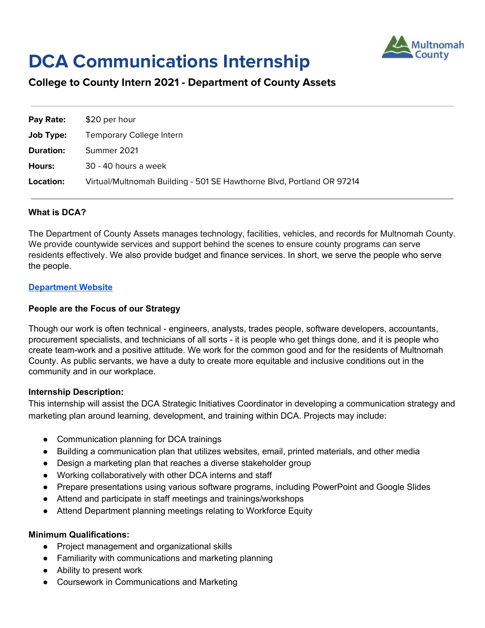

# **DCA Communications Internship**

# **College to County Intern 2021 - Department of County Assets**

| Pay Rate:        | \$20 per hour                                                         |
|------------------|-----------------------------------------------------------------------|
| Job Type:        | Temporary College Intern                                              |
| <b>Duration:</b> | Summer 2021                                                           |
| Hours:           | 30 - 40 hours a week                                                  |
| Location:        | Virtual/Multnomah Building - 501 SE Hawthorne Blvd, Portland OR 97214 |

# **What is DCA?**

The Department of County Assets manages technology, facilities, vehicles, and records for Multnomah County. We provide countywide services and support behind the scenes to ensure county programs can serve residents effectively. We also provide budget and finance services. In short, we serve the people who serve the people.

#### **[Department](https://multco.us/dca) Website**

#### **People are the Focus of our Strategy**

Though our work is often technical - engineers, analysts, trades people, software developers, accountants, procurement specialists, and technicians of all sorts - it is people who get things done, and it is people who create team-work and a positive attitude. We work for the common good and for the residents of Multnomah County. As public servants, we have a duty to create more equitable and inclusive conditions out in the community and in our workplace.

#### **Internship Description:**

This internship will assist the DCA Strategic Initiatives Coordinator in developing a communication strategy and marketing plan around learning, development, and training within DCA. Projects may include:

- Communication planning for DCA trainings
- Building a communication plan that utilizes websites, email, printed materials, and other media
- Design a marketing plan that reaches a diverse stakeholder group
- Working collaboratively with other DCA interns and staff
- Prepare presentations using various software programs, including PowerPoint and Google Slides
- Attend and participate in staff meetings and trainings/workshops
- Attend Department planning meetings relating to Workforce Equity

#### **Minimum Qualifications:**

- Project management and organizational skills
- Familiarity with communications and marketing planning
- Ability to present work
- Coursework in Communications and Marketing